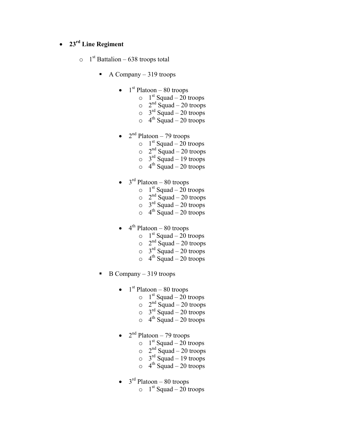## • **23rd Line Regiment**

- $\circ$  1<sup>st</sup> Battalion 638 troops total
	- A Company  $-319$  troops
		- $1<sup>st</sup>$  Platoon 80 troops
			- $\circ$  1<sup>st</sup> Squad 20 troops
			- $\circ$  2<sup>nd</sup> Squad 20 troops
			- $\circ$  3<sup>rd</sup> Squad 20 troops
			- $\circ$  4<sup>th</sup> Squad 20 troops
		- $2<sup>nd</sup>$  Platoon 79 troops
			- $\circ$  1<sup>st</sup> Squad 20 troops
			- $\circ$  2<sup>nd</sup> Squad 20 troops
			- $\circ$  3<sup>rd</sup> Squad 19 troops
			- $\circ$  4<sup>th</sup> Squad 20 troops
		- $3<sup>rd</sup>$  Platoon 80 troops
			- $\circ$  1<sup>st</sup> Squad 20 troops
				- $\circ$  2<sup>nd</sup> Squad 20 troops
				- $\circ$  3<sup>rd</sup> Squad 20 troops
				- $\circ$  4<sup>th</sup> Squad 20 troops
		- $4<sup>th</sup>$  Platoon 80 troops
			- $\circ$  1<sup>st</sup> Squad 20 troops
			- $\circ$  2<sup>nd</sup> Squad 20 troops
			- $\circ$  3<sup>rd</sup> Squad 20 troops
			- $\circ$  4<sup>th</sup> Squad 20 troops
	- B Company 319 troops
		- $1<sup>st</sup>$  Platoon 80 troops
			- $\circ$  1<sup>st</sup> Squad 20 troops
			- $2<sup>nd</sup>$  Squad 20 troops
			- $\circ$  3<sup>rd</sup> Squad 20 troops
			- $\circ$  4<sup>th</sup> Squad 20 troops
		- $2<sup>nd</sup>$  Platoon 79 troops
			- $\circ$  1<sup>st</sup> Squad 20 troops
			- $\circ$  2<sup>nd</sup> Squad 20 troops
			- $\circ$  3<sup>rd</sup> Squad 19 troops
			- $\circ$  4<sup>th</sup> Squad 20 troops
		- $3<sup>rd</sup>$  Platoon 80 troops
			- $\circ$  1<sup>st</sup> Squad 20 troops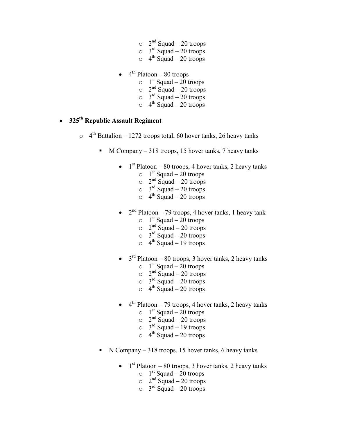- $\circ$  2<sup>nd</sup> Squad 20 troops
- $\circ$  3<sup>rd</sup> Squad 20 troops
- $\circ$  4<sup>th</sup> Squad 20 troops
- $4<sup>th</sup>$  Platoon 80 troops
	- $\circ$  1<sup>st</sup> Squad 20 troops
	- $\circ$  2<sup>nd</sup> Squad 20 troops
	- $\circ$  3<sup>rd</sup> Squad 20 troops
	- $\circ$  4<sup>th</sup> Squad 20 troops

## • **325th Republic Assault Regiment**

- $\circ$  4<sup>th</sup> Battalion 1272 troops total, 60 hover tanks, 26 heavy tanks
	- M Company 318 troops, 15 hover tanks, 7 heavy tanks
		- $1<sup>st</sup>$  Platoon 80 troops, 4 hover tanks, 2 heavy tanks
			- $\circ$  1<sup>st</sup> Squad 20 troops
			- $\circ$  2<sup>nd</sup> Squad 20 troops
			- $\circ$  3<sup>rd</sup> Squad 20 troops
			- $\circ$  4<sup>th</sup> Squad 20 troops
		- $2<sup>nd</sup>$  Platoon 79 troops, 4 hover tanks, 1 heavy tank
			- $\circ$  1<sup>st</sup> Squad 20 troops
			- $\circ$  2<sup>nd</sup> Squad 20 troops
			- $\circ$  3<sup>rd</sup> Squad 20 troops
			- $\circ$  4<sup>th</sup> Squad 19 troops
		- $3<sup>rd</sup>$  Platoon 80 troops, 3 hover tanks, 2 heavy tanks
			- $\circ$  1<sup>st</sup> Squad 20 troops
			- $\circ$  2<sup>nd</sup> Squad 20 troops
			- $\circ$  3<sup>rd</sup> Squad 20 troops
			- $\circ$  4<sup>th</sup> Squad 20 troops
		- $4<sup>th</sup>$  Platoon 79 troops, 4 hover tanks, 2 heavy tanks
			- $\circ$  1<sup>st</sup> Squad 20 troops
			- $\circ$  2<sup>nd</sup> Squad 20 troops
			- $\circ$  3<sup>rd</sup> Squad 19 troops
			- $\circ$  4<sup>th</sup> Squad 20 troops
	- N Company 318 troops, 15 hover tanks, 6 heavy tanks
		- $1<sup>st</sup>$  Platoon 80 troops, 3 hover tanks, 2 heavy tanks
			- $\circ$  1<sup>st</sup> Squad 20 troops
			- $\circ$  2<sup>nd</sup> Squad 20 troops
			- $\circ$  3<sup>rd</sup> Squad 20 troops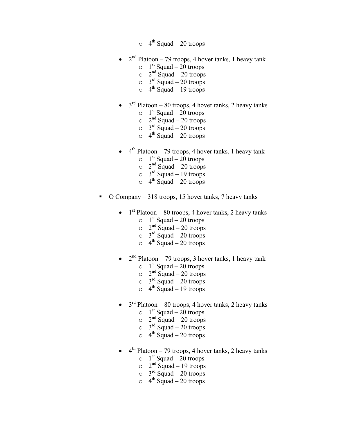- $\circ$  4<sup>th</sup> Squad 20 troops
- $2<sup>nd</sup> Platoon 79 troops, 4 hover tanks, 1 heavy tank$ 
	- $\circ$  1<sup>st</sup> Squad 20 troops
	- $\circ$  2<sup>nd</sup> Squad 20 troops
	- $\circ$  3<sup>rd</sup> Squad 20 troops
	- $\circ$  4<sup>th</sup> Squad 19 troops
- $3<sup>rd</sup>$  Platoon 80 troops, 4 hover tanks, 2 heavy tanks
	- $\circ$  1<sup>st</sup> Squad 20 troops
	- $\circ$  2<sup>nd</sup> Squad 20 troops
	- $\circ$  3<sup>rd</sup> Squad 20 troops
	- $\circ$  4<sup>th</sup> Squad 20 troops
- $4<sup>th</sup>$  Platoon 79 troops, 4 hover tanks, 1 heavy tank
	- $\circ$  1<sup>st</sup> Squad 20 troops
	- $\circ$  2<sup>nd</sup> Squad 20 troops
	- $\circ$  3<sup>rd</sup> Squad 19 troops
	- $\circ$  4<sup>th</sup> Squad 20 troops
- $\bullet$  O Company 318 troops, 15 hover tanks, 7 heavy tanks
	- $1<sup>st</sup>$  Platoon 80 troops, 4 hover tanks, 2 heavy tanks  $\circ$  1<sup>st</sup> Squad – 20 troops
		- $\circ$  2<sup>nd</sup> Squad 20 troops
		- $\circ$  3<sup>rd</sup> Squad 20 troops
		- $\circ$  4<sup>th</sup> Squad 20 troops
	- $2<sup>nd</sup> Platoon 79 troops, 3 hover tanks, 1 heavy tank$ 
		- $\circ$  1<sup>st</sup> Squad 20 troops
		- $\circ$  2<sup>nd</sup> Squad 20 troops
		- $\circ$  3<sup>rd</sup> Squad 20 troops
		- $\circ$  4<sup>th</sup> Squad 19 troops
	- $3<sup>rd</sup>$  Platoon 80 troops, 4 hover tanks, 2 heavy tanks
		- $\circ$  1<sup>st</sup> Squad 20 troops
		- $\circ$  2<sup>nd</sup> Squad 20 troops
		- $\circ$  3<sup>rd</sup> Squad 20 troops
		- $\circ$  4<sup>th</sup> Squad 20 troops
	- $4<sup>th</sup>$  Platoon 79 troops, 4 hover tanks, 2 heavy tanks
		- $\circ$  1<sup>st</sup> Squad 20 troops
		- $\circ$  2<sup>nd</sup> Squad 19 troops
		- $\circ$  3<sup>rd</sup> Squad 20 troops
		- $\circ$  4<sup>th</sup> Squad 20 troops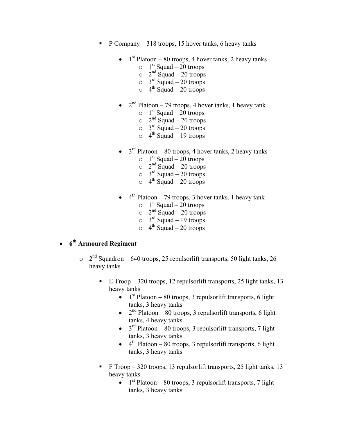- P Company 318 troops, 15 hover tanks, 6 heavy tanks
	- $1<sup>st</sup>$  Platoon 80 troops, 4 hover tanks, 2 heavy tanks
		- $\circ$  1<sup>st</sup> Squad 20 troops
		- $\circ$  2<sup>nd</sup> Squad 20 troops
		- $\circ$  3<sup>rd</sup> Squad 20 troops
		- $\circ$  4<sup>th</sup> Squad 20 troops
	- $2<sup>nd</sup> Platoon 79 troops, 4 hover tanks, 1 heavy tank$ 
		- $\circ$  1<sup>st</sup> Squad 20 troops
		- $\circ$  2<sup>nd</sup> Squad 20 troops
		- $\circ$  3<sup>rd</sup> Squad 20 troops
		- $\circ$  4<sup>th</sup> Squad 19 troops
	- $3<sup>rd</sup>$  Platoon 80 troops, 4 hover tanks, 2 heavy tanks
		- $\circ$  1<sup>st</sup> Squad 20 troops
		- $\circ$  2<sup>nd</sup> Squad 20 troops
		- $\circ$  3<sup>rd</sup> Squad 20 troops
		- $\circ$  4<sup>th</sup> Squad 20 troops
	- $4<sup>th</sup>$  Platoon 79 troops, 3 hover tanks, 1 heavy tank
		- $\circ$  1<sup>st</sup> Squad 20 troops
		- $\frac{2^{nd}}{2^{nd}}$  Squad 20 troops
		- $\circ$  3<sup>rd</sup> Squad 19 troops
		- $\circ$  4<sup>th</sup> Squad 20 troops

## • **6th Armoured Regiment**

- $\circ$  2<sup>nd</sup> Squadron 640 troops, 25 repulsorlift transports, 50 light tanks, 26 heavy tanks
	- E Troop 320 troops, 12 repulsorlift transports, 25 light tanks, 13 heavy tanks
		- $1<sup>st</sup>$  Platoon 80 troops, 3 repulsorlift transports, 6 light tanks, 3 heavy tanks
		- $2<sup>nd</sup>$  Platoon 80 troops, 3 repulsorlift transports, 6 light tanks, 4 heavy tanks
		- $3<sup>rd</sup>$  Platoon 80 troops, 3 repulsorlift transports, 7 light tanks, 3 heavy tanks
		- $\bullet$  4<sup>th</sup> Platoon 80 troops, 3 repulsorlift transports, 6 light tanks, 3 heavy tanks
	- F Troop 320 troops, 13 repulsorlift transports, 25 light tanks, 13 heavy tanks
		- $1<sup>st</sup>$  Platoon 80 troops, 3 repulsorlift transports, 7 light tanks, 3 heavy tanks